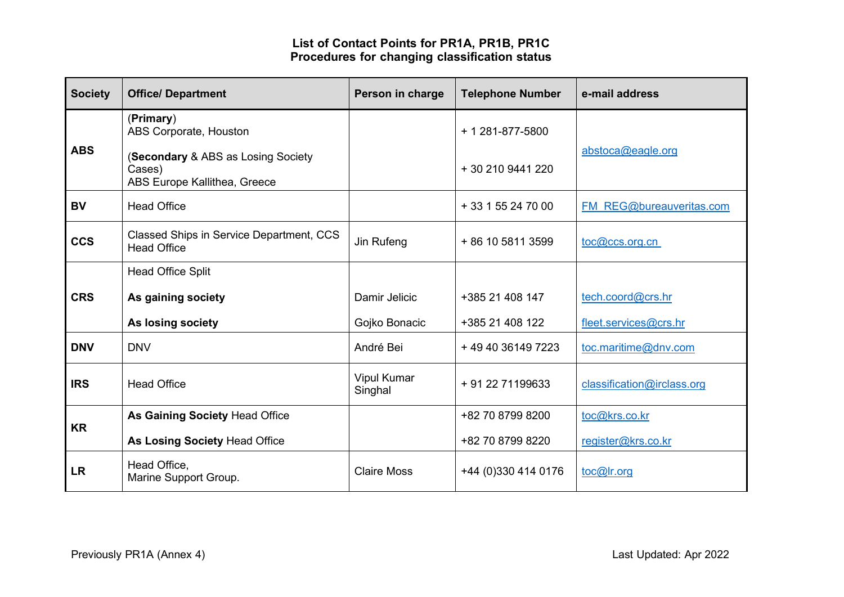## **List of Contact Points for PR1A, PR1B, PR1C Procedures for changing classification status**

| <b>Society</b> | <b>Office/ Department</b>                                                    | Person in charge              | <b>Telephone Number</b> | e-mail address             |
|----------------|------------------------------------------------------------------------------|-------------------------------|-------------------------|----------------------------|
| <b>ABS</b>     | (Primary)<br>ABS Corporate, Houston                                          |                               | + 1 281-877-5800        | abstoca@eagle.org          |
|                | (Secondary & ABS as Losing Society<br>Cases)<br>ABS Europe Kallithea, Greece |                               | + 30 210 9441 220       |                            |
| <b>BV</b>      | <b>Head Office</b>                                                           |                               | + 33 1 55 24 70 00      | FM REG@bureauveritas.com   |
| <b>CCS</b>     | <b>Classed Ships in Service Department, CCS</b><br><b>Head Office</b>        | Jin Rufeng                    | + 86 10 5811 3599       | toc@ccs.org.cn             |
|                | <b>Head Office Split</b>                                                     |                               |                         |                            |
| <b>CRS</b>     | As gaining society                                                           | Damir Jelicic                 | +385 21 408 147         | tech.coord@crs.hr          |
|                | As losing society                                                            | Gojko Bonacic                 | +385 21 408 122         | fleet.services@crs.hr      |
| <b>DNV</b>     | <b>DNV</b>                                                                   | André Bei                     | +49 40 36149 7223       | toc.maritime@dnv.com       |
| <b>IRS</b>     | <b>Head Office</b>                                                           | <b>Vipul Kumar</b><br>Singhal | + 91 22 71199633        | classification@irclass.org |
| <b>KR</b>      | As Gaining Society Head Office                                               |                               | +82 70 8799 8200        | toc@krs.co.kr              |
|                | As Losing Society Head Office                                                |                               | +82 70 8799 8220        | register@krs.co.kr         |
| <b>LR</b>      | Head Office,<br>Marine Support Group.                                        | <b>Claire Moss</b>            | +44 (0)330 414 0176     | toc@lr.org                 |